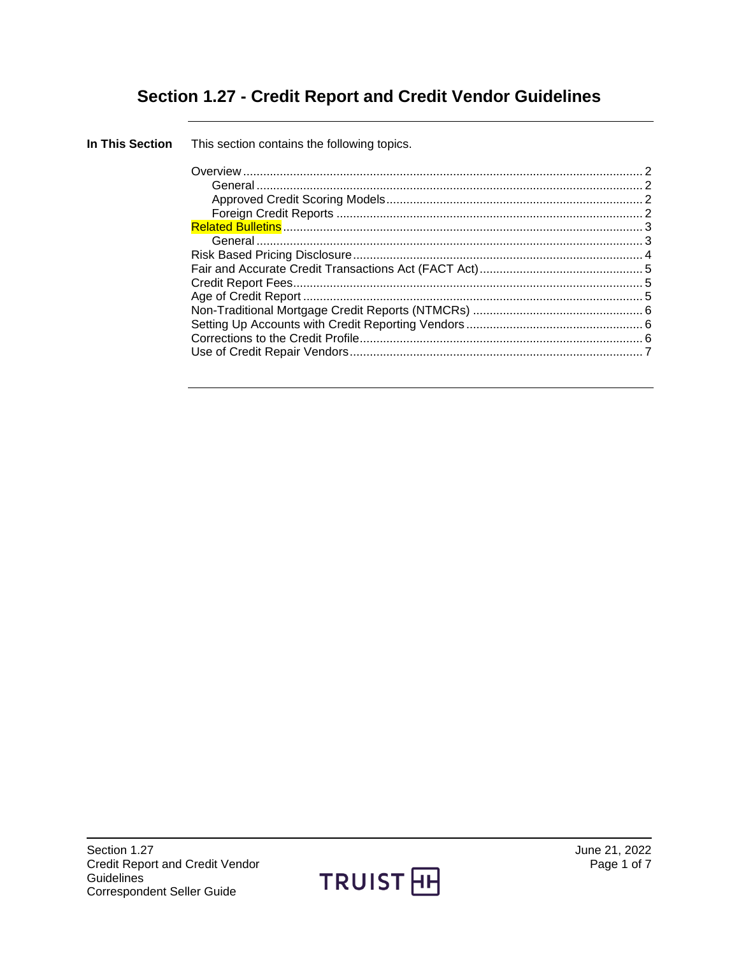# **Section 1.27 - Credit Report and Credit Vendor Guidelines**

| In This Section | This section contains the following topics. |  |
|-----------------|---------------------------------------------|--|
|                 |                                             |  |
|                 |                                             |  |
|                 |                                             |  |
|                 |                                             |  |
|                 |                                             |  |
|                 |                                             |  |
|                 |                                             |  |
|                 |                                             |  |
|                 |                                             |  |
|                 |                                             |  |
|                 |                                             |  |
|                 |                                             |  |
|                 |                                             |  |
|                 |                                             |  |
|                 |                                             |  |

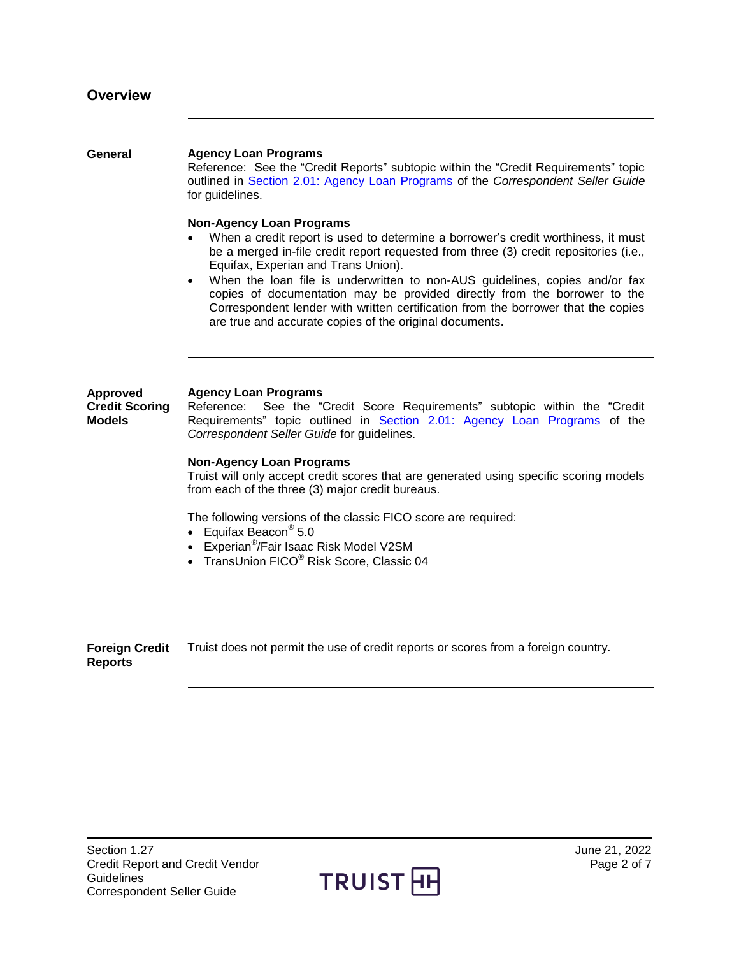<span id="page-1-2"></span><span id="page-1-1"></span><span id="page-1-0"></span>

| General                                                   | <b>Agency Loan Programs</b><br>Reference: See the "Credit Reports" subtopic within the "Credit Requirements" topic<br>outlined in Section 2.01: Agency Loan Programs of the Correspondent Seller Guide<br>for guidelines.                                                                                                                                                                                                                                                                                                                                                     |
|-----------------------------------------------------------|-------------------------------------------------------------------------------------------------------------------------------------------------------------------------------------------------------------------------------------------------------------------------------------------------------------------------------------------------------------------------------------------------------------------------------------------------------------------------------------------------------------------------------------------------------------------------------|
|                                                           | <b>Non-Agency Loan Programs</b><br>When a credit report is used to determine a borrower's credit worthiness, it must<br>be a merged in-file credit report requested from three (3) credit repositories (i.e.,<br>Equifax, Experian and Trans Union).<br>When the loan file is underwritten to non-AUS guidelines, copies and/or fax<br>$\bullet$<br>copies of documentation may be provided directly from the borrower to the<br>Correspondent lender with written certification from the borrower that the copies<br>are true and accurate copies of the original documents. |
|                                                           |                                                                                                                                                                                                                                                                                                                                                                                                                                                                                                                                                                               |
| <b>Approved</b><br><b>Credit Scoring</b><br><b>Models</b> | <b>Agency Loan Programs</b><br>See the "Credit Score Requirements" subtopic within the "Credit<br>Reference:<br>Requirements" topic outlined in Section 2.01: Agency Loan Programs of the<br>Correspondent Seller Guide for guidelines.                                                                                                                                                                                                                                                                                                                                       |
|                                                           | <b>Non-Agency Loan Programs</b><br>Truist will only accept credit scores that are generated using specific scoring models<br>from each of the three (3) major credit bureaus.                                                                                                                                                                                                                                                                                                                                                                                                 |
|                                                           | The following versions of the classic FICO score are required:<br>• Equifax Beacon <sup>®</sup> 5.0<br>• Experian <sup>®</sup> /Fair Isaac Risk Model V2SM<br>• TransUnion FICO <sup>®</sup> Risk Score, Classic 04                                                                                                                                                                                                                                                                                                                                                           |
|                                                           |                                                                                                                                                                                                                                                                                                                                                                                                                                                                                                                                                                               |
|                                                           |                                                                                                                                                                                                                                                                                                                                                                                                                                                                                                                                                                               |
| <b>Foreign Credit</b><br><b>Reports</b>                   | Truist does not permit the use of credit reports or scores from a foreign country.                                                                                                                                                                                                                                                                                                                                                                                                                                                                                            |
|                                                           |                                                                                                                                                                                                                                                                                                                                                                                                                                                                                                                                                                               |

<span id="page-1-3"></span>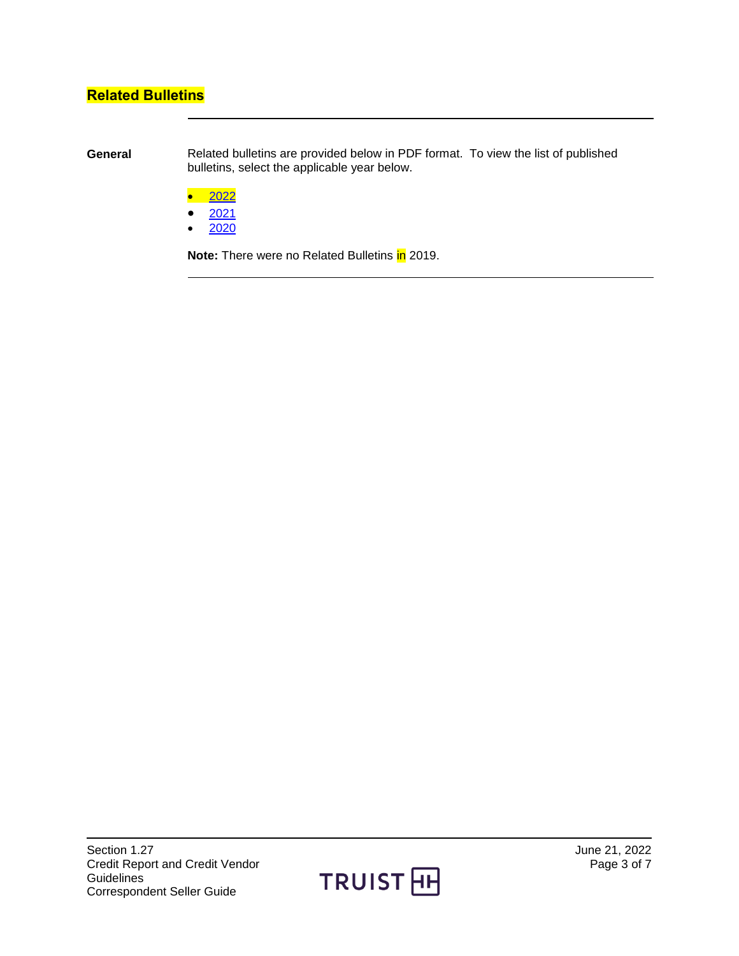# <span id="page-2-0"></span>**Related Bulletins**

<span id="page-2-1"></span>**General** Related bulletins are provided below in PDF format. To view the list of published bulletins, select the applicable year below.

- [2022](http://truistsellerguide.com/manual/cor/bulletins/Related%20Bulletins/2022/CCreditReportVendors2022.pdf)
- [2021](http://truistsellerguide.com/manual/cor/bulletins/Related%20Bulletins/2021/CCreditReportVendors2021.pdf)
- $2020$  $2020$

**Note:** There were no Related Bulletins in 2019.

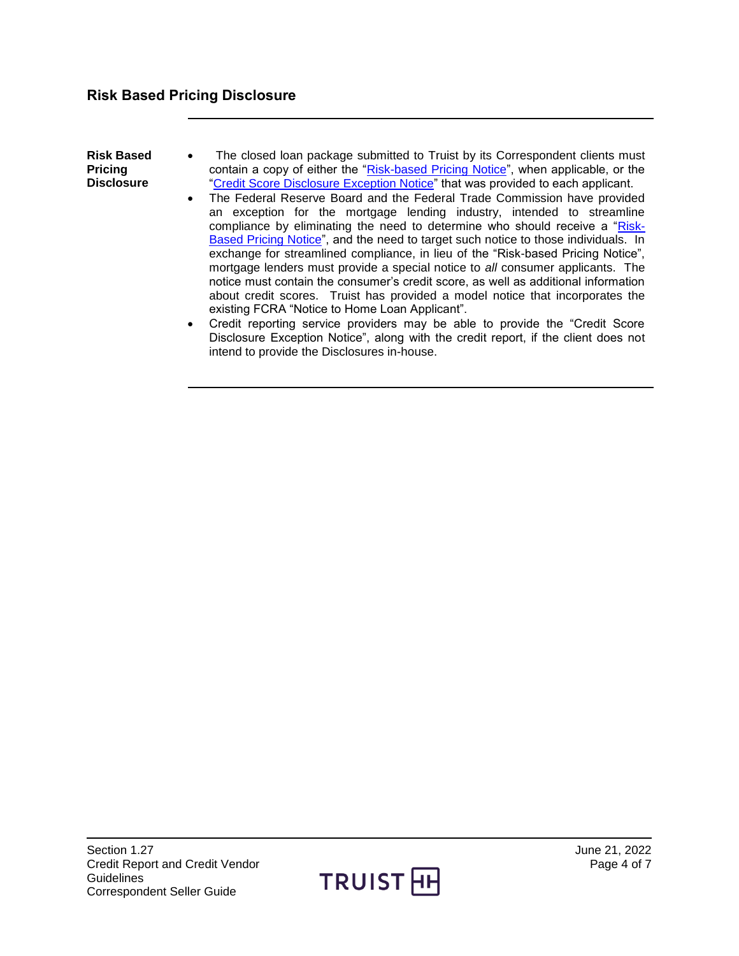## <span id="page-3-0"></span>**Risk Based Pricing Disclosure**

**Risk Based Pricing Disclosure**

- The closed loan package submitted to Truist by its Correspondent clients must contain a copy of either the ["Risk-based Pricing Notice"](http://truistsellerguide.com/manual/cor/general/RiskBasedPricingNotice.pdf), when applicable, or the ["Credit Score Disclosure Exception Notice"](http://truistsellerguide.com/manual/cor/general/CreditScoreDisclosureExceptionNotice.pdf) that was provided to each applicant.
- The Federal Reserve Board and the Federal Trade Commission have provided an exception for the mortgage lending industry, intended to streamline compliance by eliminating the need to determine who should receive a ["Risk-](http://truistsellerguide.com/manual/cor/general/RiskBasedPricingNotice.pdf)[Based Pricing Notice"](http://truistsellerguide.com/manual/cor/general/RiskBasedPricingNotice.pdf), and the need to target such notice to those individuals. In exchange for streamlined compliance, in lieu of the "Risk-based Pricing Notice", mortgage lenders must provide a special notice to *all* consumer applicants. The notice must contain the consumer's credit score, as well as additional information about credit scores. Truist has provided a model notice that incorporates the existing FCRA "Notice to Home Loan Applicant".
- Credit reporting service providers may be able to provide the "Credit Score Disclosure Exception Notice", along with the credit report, if the client does not intend to provide the Disclosures in-house.

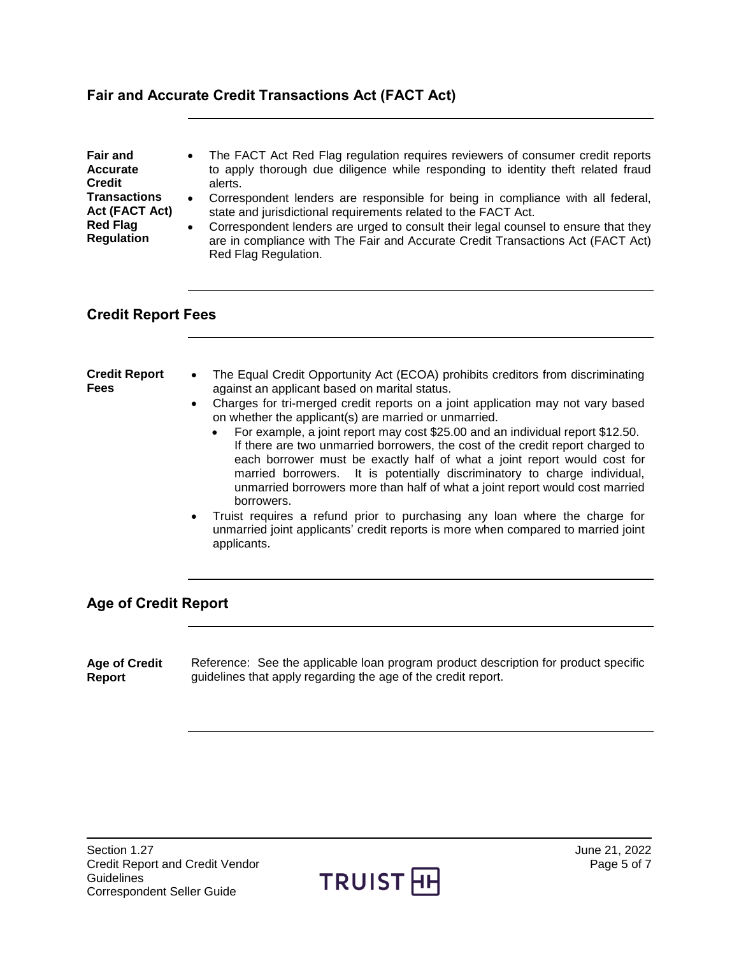# <span id="page-4-0"></span>**Fair and Accurate Credit Transactions Act (FACT Act)**

<span id="page-4-1"></span>

| <b>Fair and</b><br><b>Accurate</b><br><b>Credit</b><br><b>Transactions</b><br>Act (FACT Act)<br><b>Red Flag</b><br><b>Regulation</b> | The FACT Act Red Flag regulation requires reviewers of consumer credit reports<br>to apply thorough due diligence while responding to identity theft related fraud<br>alerts.<br>Correspondent lenders are responsible for being in compliance with all federal,<br>$\bullet$<br>state and jurisdictional requirements related to the FACT Act.<br>Correspondent lenders are urged to consult their legal counsel to ensure that they<br>$\bullet$<br>are in compliance with The Fair and Accurate Credit Transactions Act (FACT Act)<br>Red Flag Regulation.                                                                                                                                                                                                                                                                                                                                                                    |  |  |
|--------------------------------------------------------------------------------------------------------------------------------------|----------------------------------------------------------------------------------------------------------------------------------------------------------------------------------------------------------------------------------------------------------------------------------------------------------------------------------------------------------------------------------------------------------------------------------------------------------------------------------------------------------------------------------------------------------------------------------------------------------------------------------------------------------------------------------------------------------------------------------------------------------------------------------------------------------------------------------------------------------------------------------------------------------------------------------|--|--|
| <b>Credit Report Fees</b>                                                                                                            |                                                                                                                                                                                                                                                                                                                                                                                                                                                                                                                                                                                                                                                                                                                                                                                                                                                                                                                                  |  |  |
| <b>Credit Report</b><br><b>Fees</b>                                                                                                  | The Equal Credit Opportunity Act (ECOA) prohibits creditors from discriminating<br>$\bullet$<br>against an applicant based on marital status.<br>Charges for tri-merged credit reports on a joint application may not vary based<br>$\bullet$<br>on whether the applicant(s) are married or unmarried.<br>For example, a joint report may cost \$25.00 and an individual report \$12.50.<br>If there are two unmarried borrowers, the cost of the credit report charged to<br>each borrower must be exactly half of what a joint report would cost for<br>married borrowers. It is potentially discriminatory to charge individual,<br>unmarried borrowers more than half of what a joint report would cost married<br>borrowers.<br>Truist requires a refund prior to purchasing any loan where the charge for<br>$\bullet$<br>unmarried joint applicants' credit reports is more when compared to married joint<br>applicants. |  |  |
| <b>Age of Credit Report</b>                                                                                                          |                                                                                                                                                                                                                                                                                                                                                                                                                                                                                                                                                                                                                                                                                                                                                                                                                                                                                                                                  |  |  |

<span id="page-4-2"></span>**Age of Credit Report** Reference: See the applicable loan program product description for product specific guidelines that apply regarding the age of the credit report.

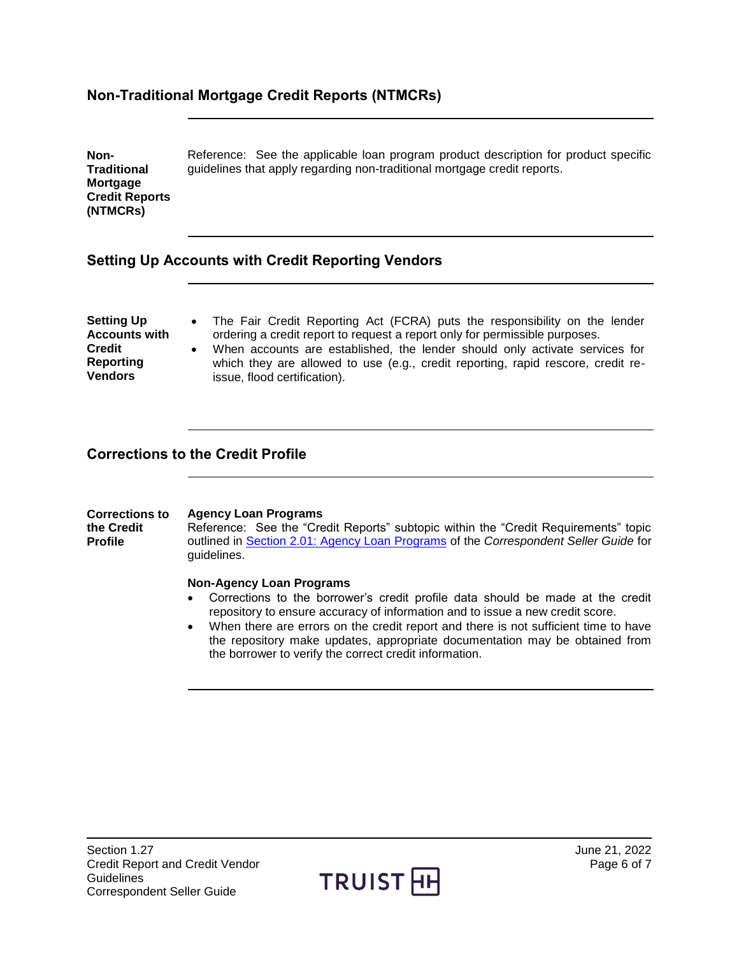## <span id="page-5-0"></span>**Non-Traditional Mortgage Credit Reports (NTMCRs)**

| Non-                  | Reference: See the applicable loan program product description for product specific |
|-----------------------|-------------------------------------------------------------------------------------|
| <b>Traditional</b>    | guidelines that apply regarding non-traditional mortgage credit reports.            |
| <b>Mortgage</b>       |                                                                                     |
| <b>Credit Reports</b> |                                                                                     |
| (NTMCRs)              |                                                                                     |

## <span id="page-5-1"></span>**Setting Up Accounts with Credit Reporting Vendors**

| <b>Setting Up</b><br><b>Accounts with</b> | The Fair Credit Reporting Act (FCRA) puts the responsibility on the lender<br>ordering a credit report to request a report only for permissible purposes. |
|-------------------------------------------|-----------------------------------------------------------------------------------------------------------------------------------------------------------|
| <b>Credit</b>                             | When accounts are established, the lender should only activate services for                                                                               |
| Reporting                                 | which they are allowed to use (e.g., credit reporting, rapid rescore, credit re-                                                                          |
| <b>Vendors</b>                            | issue, flood certification).                                                                                                                              |

### <span id="page-5-2"></span>**Corrections to the Credit Profile**

**Corrections to the Credit Profile Agency Loan Programs** Reference: See the "Credit Reports" subtopic within the "Credit Requirements" topic outlined in [Section 2.01: Agency Loan Programs](https://truistsellerguide.com/manual/cor/products/cagency.pdf) of the *Correspondent Seller Guide* for guidelines.

#### **Non-Agency Loan Programs**

- Corrections to the borrower's credit profile data should be made at the credit repository to ensure accuracy of information and to issue a new credit score.
- When there are errors on the credit report and there is not sufficient time to have the repository make updates, appropriate documentation may be obtained from the borrower to verify the correct credit information.